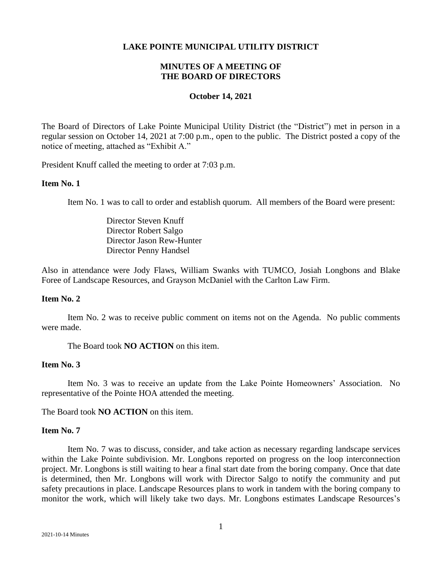#### **LAKE POINTE MUNICIPAL UTILITY DISTRICT**

# **MINUTES OF A MEETING OF THE BOARD OF DIRECTORS**

#### **October 14, 2021**

The Board of Directors of Lake Pointe Municipal Utility District (the "District") met in person in a regular session on October 14, 2021 at 7:00 p.m., open to the public. The District posted a copy of the notice of meeting, attached as "Exhibit A."

President Knuff called the meeting to order at 7:03 p.m.

#### **Item No. 1**

Item No. 1 was to call to order and establish quorum. All members of the Board were present:

Director Steven Knuff Director Robert Salgo Director Jason Rew-Hunter Director Penny Handsel

Also in attendance were Jody Flaws, William Swanks with TUMCO, Josiah Longbons and Blake Foree of Landscape Resources, and Grayson McDaniel with the Carlton Law Firm.

## **Item No. 2**

Item No. 2 was to receive public comment on items not on the Agenda. No public comments were made.

The Board took **NO ACTION** on this item.

# **Item No. 3**

Item No. 3 was to receive an update from the Lake Pointe Homeowners' Association. No representative of the Pointe HOA attended the meeting.

The Board took **NO ACTION** on this item.

## **Item No. 7**

Item No. 7 was to discuss, consider, and take action as necessary regarding landscape services within the Lake Pointe subdivision. Mr. Longbons reported on progress on the loop interconnection project. Mr. Longbons is still waiting to hear a final start date from the boring company. Once that date is determined, then Mr. Longbons will work with Director Salgo to notify the community and put safety precautions in place. Landscape Resources plans to work in tandem with the boring company to monitor the work, which will likely take two days. Mr. Longbons estimates Landscape Resources's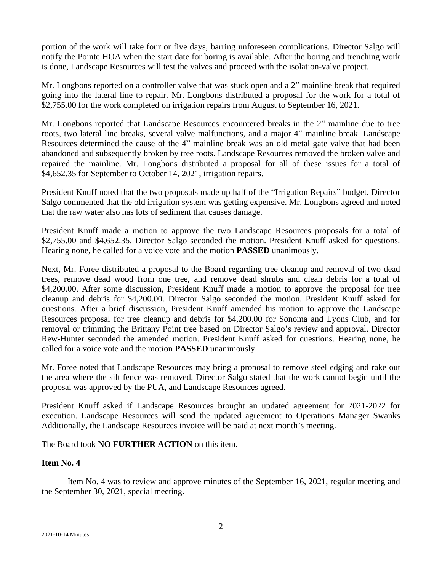portion of the work will take four or five days, barring unforeseen complications. Director Salgo will notify the Pointe HOA when the start date for boring is available. After the boring and trenching work is done, Landscape Resources will test the valves and proceed with the isolation-valve project.

Mr. Longbons reported on a controller valve that was stuck open and a 2" mainline break that required going into the lateral line to repair. Mr. Longbons distributed a proposal for the work for a total of \$2,755.00 for the work completed on irrigation repairs from August to September 16, 2021.

Mr. Longbons reported that Landscape Resources encountered breaks in the 2" mainline due to tree roots, two lateral line breaks, several valve malfunctions, and a major 4" mainline break. Landscape Resources determined the cause of the 4" mainline break was an old metal gate valve that had been abandoned and subsequently broken by tree roots. Landscape Resources removed the broken valve and repaired the mainline. Mr. Longbons distributed a proposal for all of these issues for a total of \$4,652.35 for September to October 14, 2021, irrigation repairs.

President Knuff noted that the two proposals made up half of the "Irrigation Repairs" budget. Director Salgo commented that the old irrigation system was getting expensive. Mr. Longbons agreed and noted that the raw water also has lots of sediment that causes damage.

President Knuff made a motion to approve the two Landscape Resources proposals for a total of \$2,755.00 and \$4,652.35. Director Salgo seconded the motion. President Knuff asked for questions. Hearing none, he called for a voice vote and the motion **PASSED** unanimously.

Next, Mr. Foree distributed a proposal to the Board regarding tree cleanup and removal of two dead trees, remove dead wood from one tree, and remove dead shrubs and clean debris for a total of \$4,200.00. After some discussion, President Knuff made a motion to approve the proposal for tree cleanup and debris for \$4,200.00. Director Salgo seconded the motion. President Knuff asked for questions. After a brief discussion, President Knuff amended his motion to approve the Landscape Resources proposal for tree cleanup and debris for \$4,200.00 for Sonoma and Lyons Club, and for removal or trimming the Brittany Point tree based on Director Salgo's review and approval. Director Rew-Hunter seconded the amended motion. President Knuff asked for questions. Hearing none, he called for a voice vote and the motion **PASSED** unanimously.

Mr. Foree noted that Landscape Resources may bring a proposal to remove steel edging and rake out the area where the silt fence was removed. Director Salgo stated that the work cannot begin until the proposal was approved by the PUA, and Landscape Resources agreed.

President Knuff asked if Landscape Resources brought an updated agreement for 2021-2022 for execution. Landscape Resources will send the updated agreement to Operations Manager Swanks Additionally, the Landscape Resources invoice will be paid at next month's meeting.

The Board took **NO FURTHER ACTION** on this item.

# **Item No. 4**

Item No. 4 was to review and approve minutes of the September 16, 2021, regular meeting and the September 30, 2021, special meeting.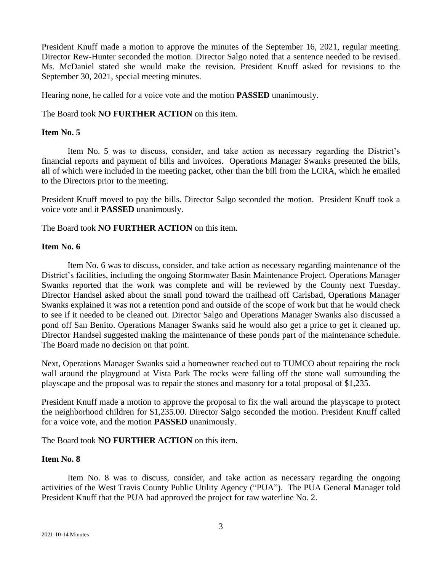President Knuff made a motion to approve the minutes of the September 16, 2021, regular meeting. Director Rew-Hunter seconded the motion. Director Salgo noted that a sentence needed to be revised. Ms. McDaniel stated she would make the revision. President Knuff asked for revisions to the September 30, 2021, special meeting minutes.

Hearing none, he called for a voice vote and the motion **PASSED** unanimously.

The Board took **NO FURTHER ACTION** on this item.

## **Item No. 5**

Item No. 5 was to discuss, consider, and take action as necessary regarding the District's financial reports and payment of bills and invoices. Operations Manager Swanks presented the bills, all of which were included in the meeting packet, other than the bill from the LCRA, which he emailed to the Directors prior to the meeting.

President Knuff moved to pay the bills. Director Salgo seconded the motion. President Knuff took a voice vote and it **PASSED** unanimously.

The Board took **NO FURTHER ACTION** on this item.

## **Item No. 6**

Item No. 6 was to discuss, consider, and take action as necessary regarding maintenance of the District's facilities, including the ongoing Stormwater Basin Maintenance Project. Operations Manager Swanks reported that the work was complete and will be reviewed by the County next Tuesday. Director Handsel asked about the small pond toward the trailhead off Carlsbad, Operations Manager Swanks explained it was not a retention pond and outside of the scope of work but that he would check to see if it needed to be cleaned out. Director Salgo and Operations Manager Swanks also discussed a pond off San Benito. Operations Manager Swanks said he would also get a price to get it cleaned up. Director Handsel suggested making the maintenance of these ponds part of the maintenance schedule. The Board made no decision on that point.

Next, Operations Manager Swanks said a homeowner reached out to TUMCO about repairing the rock wall around the playground at Vista Park The rocks were falling off the stone wall surrounding the playscape and the proposal was to repair the stones and masonry for a total proposal of \$1,235.

President Knuff made a motion to approve the proposal to fix the wall around the playscape to protect the neighborhood children for \$1,235.00. Director Salgo seconded the motion. President Knuff called for a voice vote, and the motion **PASSED** unanimously.

The Board took **NO FURTHER ACTION** on this item.

## **Item No. 8**

Item No. 8 was to discuss, consider, and take action as necessary regarding the ongoing activities of the West Travis County Public Utility Agency ("PUA"). The PUA General Manager told President Knuff that the PUA had approved the project for raw waterline No. 2.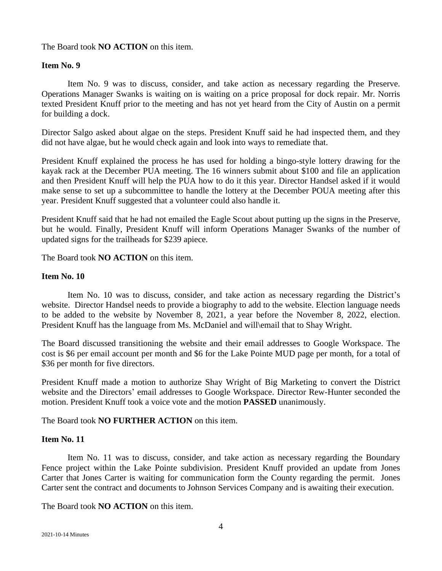## The Board took **NO ACTION** on this item.

## **Item No. 9**

Item No. 9 was to discuss, consider, and take action as necessary regarding the Preserve. Operations Manager Swanks is waiting on is waiting on a price proposal for dock repair. Mr. Norris texted President Knuff prior to the meeting and has not yet heard from the City of Austin on a permit for building a dock.

Director Salgo asked about algae on the steps. President Knuff said he had inspected them, and they did not have algae, but he would check again and look into ways to remediate that.

President Knuff explained the process he has used for holding a bingo-style lottery drawing for the kayak rack at the December PUA meeting. The 16 winners submit about \$100 and file an application and then President Knuff will help the PUA how to do it this year. Director Handsel asked if it would make sense to set up a subcommittee to handle the lottery at the December POUA meeting after this year. President Knuff suggested that a volunteer could also handle it.

President Knuff said that he had not emailed the Eagle Scout about putting up the signs in the Preserve, but he would. Finally, President Knuff will inform Operations Manager Swanks of the number of updated signs for the trailheads for \$239 apiece.

The Board took **NO ACTION** on this item.

## **Item No. 10**

Item No. 10 was to discuss, consider, and take action as necessary regarding the District's website. Director Handsel needs to provide a biography to add to the website. Election language needs to be added to the website by November 8, 2021, a year before the November 8, 2022, election. President Knuff has the language from Ms. McDaniel and will\email that to Shay Wright.

The Board discussed transitioning the website and their email addresses to Google Workspace. The cost is \$6 per email account per month and \$6 for the Lake Pointe MUD page per month, for a total of \$36 per month for five directors.

President Knuff made a motion to authorize Shay Wright of Big Marketing to convert the District website and the Directors' email addresses to Google Workspace. Director Rew-Hunter seconded the motion. President Knuff took a voice vote and the motion **PASSED** unanimously.

# The Board took **NO FURTHER ACTION** on this item.

## **Item No. 11**

Item No. 11 was to discuss, consider, and take action as necessary regarding the Boundary Fence project within the Lake Pointe subdivision. President Knuff provided an update from Jones Carter that Jones Carter is waiting for communication form the County regarding the permit. Jones Carter sent the contract and documents to Johnson Services Company and is awaiting their execution.

The Board took **NO ACTION** on this item.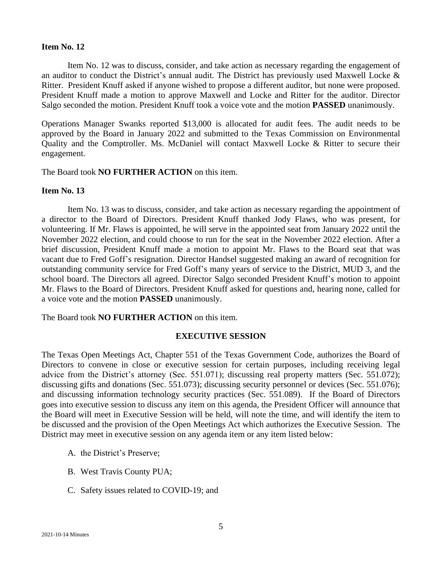## **Item No. 12**

Item No. 12 was to discuss, consider, and take action as necessary regarding the engagement of an auditor to conduct the District's annual audit. The District has previously used Maxwell Locke & Ritter. President Knuff asked if anyone wished to propose a different auditor, but none were proposed. President Knuff made a motion to approve Maxwell and Locke and Ritter for the auditor. Director Salgo seconded the motion. President Knuff took a voice vote and the motion **PASSED** unanimously.

Operations Manager Swanks reported \$13,000 is allocated for audit fees. The audit needs to be approved by the Board in January 2022 and submitted to the Texas Commission on Environmental Quality and the Comptroller. Ms. McDaniel will contact Maxwell Locke & Ritter to secure their engagement.

The Board took **NO FURTHER ACTION** on this item.

### **Item No. 13**

Item No. 13 was to discuss, consider, and take action as necessary regarding the appointment of a director to the Board of Directors. President Knuff thanked Jody Flaws, who was present, for volunteering. If Mr. Flaws is appointed, he will serve in the appointed seat from January 2022 until the November 2022 election, and could choose to run for the seat in the November 2022 election. After a brief discussion, President Knuff made a motion to appoint Mr. Flaws to the Board seat that was vacant due to Fred Goff's resignation. Director Handsel suggested making an award of recognition for outstanding community service for Fred Goff's many years of service to the District, MUD 3, and the school board. The Directors all agreed. Director Salgo seconded President Knuff's motion to appoint Mr. Flaws to the Board of Directors. President Knuff asked for questions and, hearing none, called for a voice vote and the motion **PASSED** unanimously.

The Board took **NO FURTHER ACTION** on this item.

## **EXECUTIVE SESSION**

The Texas Open Meetings Act, Chapter 551 of the Texas Government Code, authorizes the Board of Directors to convene in close or executive session for certain purposes, including receiving legal advice from the District's attorney (Sec. 551.071); discussing real property matters (Sec. 551.072); discussing gifts and donations (Sec. 551.073); discussing security personnel or devices (Sec. 551.076); and discussing information technology security practices (Sec. 551.089). If the Board of Directors goes into executive session to discuss any item on this agenda, the President Officer will announce that the Board will meet in Executive Session will be held, will note the time, and will identify the item to be discussed and the provision of the Open Meetings Act which authorizes the Executive Session. The District may meet in executive session on any agenda item or any item listed below:

- A. the District's Preserve;
- B. West Travis County PUA;
- C. Safety issues related to COVID-19; and